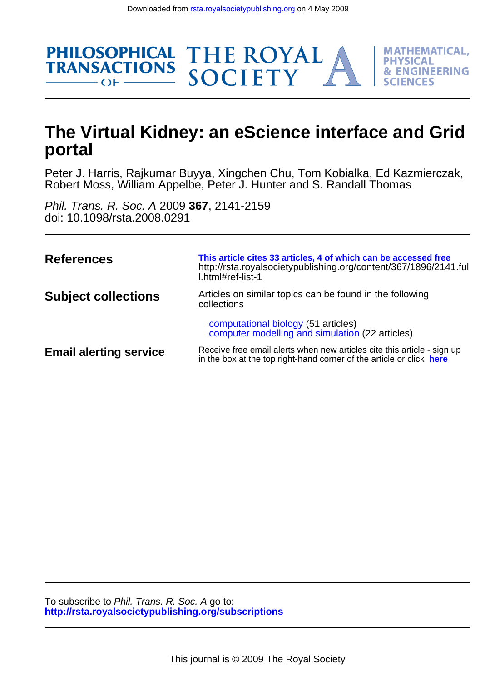

THE ROYAL<br>SOCIETY

**MATHEMATICAL. PHYSICAL** 

**& ENGINEERING** 

FS

Robert Moss, William Appelbe, Peter J. Hunter and S. Randall Thomas Peter J. Harris, Rajkumar Buyya, Xingchen Chu, Tom Kobialka, Ed Kazmierczak,

doi: 10.1098/rsta.2008.0291 Phil. Trans. R. Soc. A 2009 **367**, 2141-2159

**PHILOSOPHICAL** 

 $OF$  —

**TRANSACTIONS** 

| References                    | This article cites 33 articles, 4 of which can be accessed free<br>http://rsta.royalsocietypublishing.org/content/367/1896/2141.ful<br>l.html#ref-list-1 |
|-------------------------------|----------------------------------------------------------------------------------------------------------------------------------------------------------|
| <b>Subject collections</b>    | Articles on similar topics can be found in the following<br>collections                                                                                  |
|                               | computational biology (51 articles)<br>computer modelling and simulation (22 articles)                                                                   |
| <b>Email alerting service</b> | Receive free email alerts when new articles cite this article - sign up<br>in the box at the top right-hand corner of the article or click here          |

**<http://rsta.royalsocietypublishing.org/subscriptions>** To subscribe to Phil. Trans. R. Soc. A go to: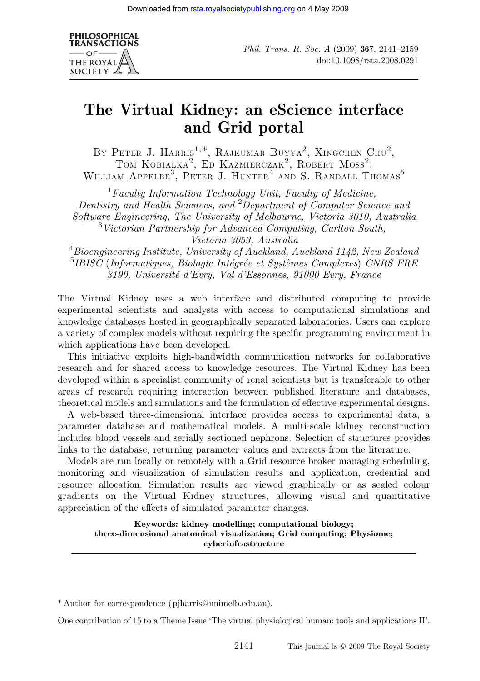

Phil. Trans. R. Soc. A (2009) 367, 2141–2159 doi:10.1098/rsta.2008.0291

# The Virtual Kidney: an eScience interface and Grid portal

BY PETER J. HARRIS<sup>1,\*</sup>, RAJKUMAR BUYYA<sup>2</sup>, XINGCHEN CHU<sup>2</sup>, TOM KOBIALKA<sup>2</sup>, ED KAZMIERCZAK<sup>2</sup>, ROBERT MOSS<sup>2</sup>, WILLIAM  $APPELBE<sup>3</sup>$ , PETER J. HUNTER<sup>4</sup> AND S. RANDALL THOMAS<sup>5</sup>

 ${}^{1}$ Faculty Information Technology Unit, Faculty of Medicine, Dentistry and Health Sciences, and <sup>2</sup>Department of Computer Science and Software Engineering, The University of Melbourne, Victoria 3010, Australia 3 Victorian Partnership for Advanced Computing, Carlton South, Victoria 3053, Australia

 $^4$ Bioengineering Institute, University of Auckland, Auckland 1142, New Zealand  $^{5}$ IBISC (Informatiques, Biologie Intégrée et Systèmes Complexes) CNRS FRE 3190, Universite´ d'Evry, Val d'Essonnes, 91000 Evry, France

The Virtual Kidney uses a web interface and distributed computing to provide experimental scientists and analysts with access to computational simulations and knowledge databases hosted in geographically separated laboratories. Users can explore a variety of complex models without requiring the specific programming environment in which applications have been developed.

This initiative exploits high-bandwidth communication networks for collaborative research and for shared access to knowledge resources. The Virtual Kidney has been developed within a specialist community of renal scientists but is transferable to other areas of research requiring interaction between published literature and databases, theoretical models and simulations and the formulation of effective experimental designs.

A web-based three-dimensional interface provides access to experimental data, a parameter database and mathematical models. A multi-scale kidney reconstruction includes blood vessels and serially sectioned nephrons. Selection of structures provides links to the database, returning parameter values and extracts from the literature.

Models are run locally or remotely with a Grid resource broker managing scheduling, monitoring and visualization of simulation results and application, credential and resource allocation. Simulation results are viewed graphically or as scaled colour gradients on the Virtual Kidney structures, allowing visual and quantitative appreciation of the effects of simulated parameter changes.

Keywords: kidney modelling; computational biology; three-dimensional anatomical visualization; Grid computing; Physiome; cyberinfrastructure

\* Author for correspondence (pjharris@unimelb.edu.au).

One contribution of 15 to a Theme Issue 'The virtual physiological human: tools and applications II'.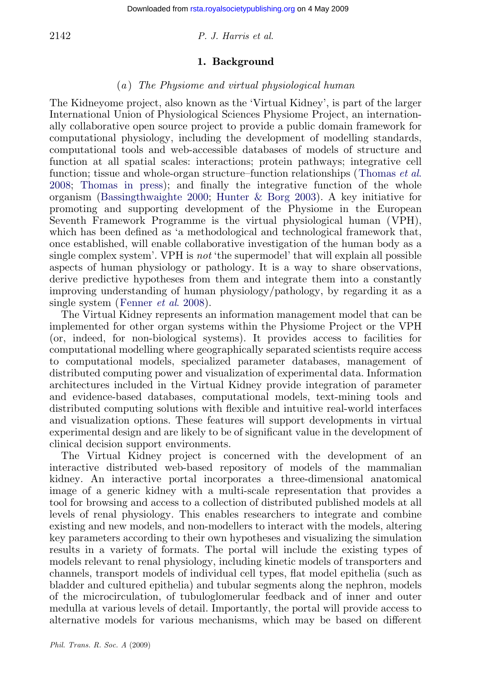# 2142 P. J. Harris et al.

### 1. Background

### (a ) The Physiome and virtual physiological human

[The](#page-19-0) [Kidney](#page-19-0)[ome project, also know](#page-17-0)[n as the 'Virtual Kidne](#page-18-0)y', is part of the larger International Union of Physiological Sciences Physiome Project, an internationally collaborative open source project to provide a public domain framework for computational physiology, including the development of modelling standards, computational tools and web-accessible databases of models of structure and function at all spatial scales: interactions; protein pathways; integrative cell function; tissue and whole-organ structure–function relationships (Thomas *et al.*) 2008; Thomas in press); and finally the integrative function of the whole organism (Bassingthwaighte 2000; Hunter & Borg 2003). A key initiative for promoting an[d supporting deve](#page-18-0)lopment of the Physiome in the European Seventh Framework Programme is the virtual physiological human (VPH), which has been defined as 'a methodological and technological framework that, once established, will enable collaborative investigation of the human body as a single complex system'. VPH is not 'the supermodel' that will explain all possible aspects of human physiology or pathology. It is a way to share observations, derive predictive hypotheses from them and integrate them into a constantly improving understanding of human physiology/pathology, by regarding it as a single system (Fenner et al. 2008).

The Virtual Kidney represents an information management model that can be implemented for other organ systems within the Physiome Project or the VPH (or, indeed, for non-biological systems). It provides access to facilities for computational modelling where geographically separated scientists require access to computational models, specialized parameter databases, management of distributed computing power and visualization of experimental data. Information architectures included in the Virtual Kidney provide integration of parameter and evidence-based databases, computational models, text-mining tools and distributed computing solutions with flexible and intuitive real-world interfaces and visualization options. These features will support developments in virtual experimental design and are likely to be of significant value in the development of clinical decision support environments.

The Virtual Kidney project is concerned with the development of an interactive distributed web-based repository of models of the mammalian kidney. An interactive portal incorporates a three-dimensional anatomical image of a generic kidney with a multi-scale representation that provides a tool for browsing and access to a collection of distributed published models at all levels of renal physiology. This enables researchers to integrate and combine existing and new models, and non-modellers to interact with the models, altering key parameters according to their own hypotheses and visualizing the simulation results in a variety of formats. The portal will include the existing types of models relevant to renal physiology, including kinetic models of transporters and channels, transport models of individual cell types, flat model epithelia (such as bladder and cultured epithelia) and tubular segments along the nephron, models of the microcirculation, of tubuloglomerular feedback and of inner and outer medulla at various levels of detail. Importantly, the portal will provide access to alternative models for various mechanisms, which may be based on different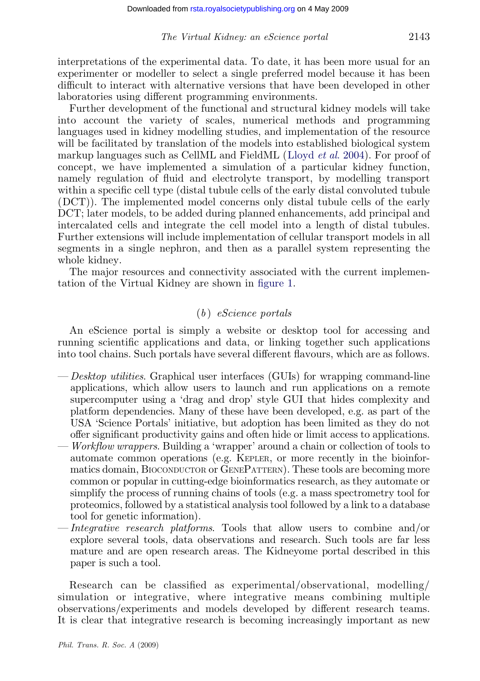interpretations of the experimental data. To date[, it has been mor](#page-18-0)e usual for an experimenter or modeller to select a single preferred model because it has been difficult to interact with alternative versions that have been developed in other laboratories using different programming environments.

Further development of the functional and structural kidney models will take into account the variety of scales, numerical methods and programming languages used in kidney modelling studies, and implementation of the resource will be facilitated by translation of the models into established biological system markup languages such as CellML and FieldML (Lloyd *et al.* 2004). For proof of concept, we have implemented a simulation of a particular kidney function, namely regulation of fluid and electrolyte transport, by modelling transport within a specific cell type (distal tubule cell[s of the e](#page-4-0)arly distal convoluted tubule (DCT)). The implemented model concerns only distal tubule cells of the early DCT; later models, to be added during planned enhancements, add principal and intercalated cells and integrate the cell model into a length of distal tubules. Further extensions will include implementation of cellular transport models in all segments in a single nephron, and then as a parallel system representing the whole kidney.

The major resources and connectivity associated with the current implementation of the Virtual Kidney are shown in figure 1.

# $(b)$  eScience portals

An eScience portal is simply a website or desktop tool for accessing and running scientific applications and data, or linking together such applications into tool chains. Such portals have several different flavours, which are as follows.

- Desktop utilities. Graphical user interfaces (GUIs) for wrapping command-line applications, which allow users to launch and run applications on a remote supercomputer using a 'drag and drop' style GUI that hides complexity and platform dependencies. Many of these have been developed, e.g. as part of the USA 'Science Portals' initiative, but adoption has been limited as they do not offer significant productivity gains and often hide or limit access to applications.
- Workflow wrappers. Building a 'wrapper' around a chain or collection of tools to automate common operations (e.g. KEPLER, or more recently in the bioinformatics domain, BIOCONDUCTOR or GENEPATTERN). These tools are becoming more common or popular in cutting-edge bioinformatics research, as they automate or simplify the process of running chains of tools (e.g. a mass spectrometry tool for proteomics, followed by a statistical analysis tool followed by a link to a database tool for genetic information).
- Integrative research platforms. Tools that allow users to combine and/or explore several tools, data observations and research. Such tools are far less mature and are open research areas. The Kidneyome portal described in this paper is such a tool.

Research can be classified as experimental/observational, modelling/ simulation or integrative, where integrative means combining multiple observations/experiments and models developed by different research teams. It is clear that integrative research is becoming increasingly important as new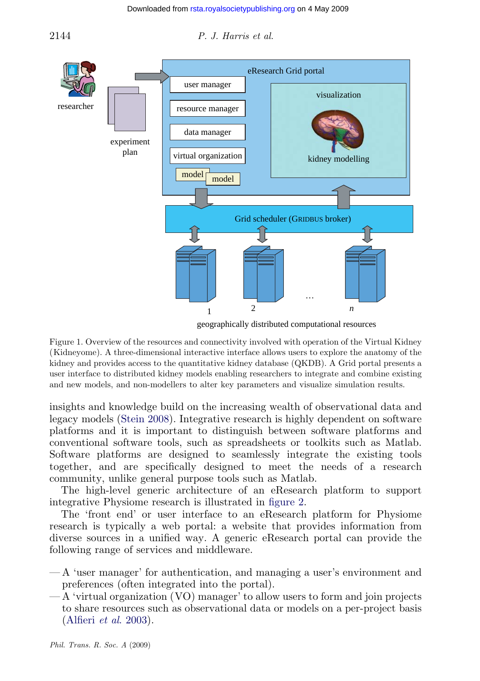

#### <span id="page-4-0"></span>2144 P. J. Harris et al.

geographically distributed computational resources

Figure 1. Overview of the resources and connectivity involved with operation of the Virtual Kidney (Kidneyome). A three-dimensional interactive interface allows users to explore the anatomy of the kidney and provides access to the quantitative kidney database (QKDB). A Grid portal presents a user interface to distributed kidney models enabling researchers to integrate and combine existing and new models, and non-modellers to alter key parameters and visualize simulation results.

insights and knowledge build on the increasing wealth of observational data and legacy models (Stein 2008). Integrative researc[h](#page-5-0) [is](#page-5-0) [high](#page-5-0)ly dependent on software platforms and it is important to distinguish between software platforms and conventional software tools, such as spreadsheets or toolkits such as Matlab. Software platforms are designed to seamlessly integrate the existing tools together, and are specifically designed to meet the needs of a research community, unlike general purpose tools such as Matlab.

The high-level generic architecture of an eResearch platform to support integrative Physiome research is illustrated in figure 2.

The 'front end' or user interface to an eResearch platform for Physiome res[earch is typically](#page-17-0) a web portal: a website that provides information from diverse sources in a unified way. A generic eResearch portal can provide the following range of services and middleware.

- A 'user manager' for authentication, and managing a user's environment and preferences (often integrated into the portal).
- A 'virtual organization (VO) manager' to allow users to form and join projects to share resources such as observational data or models on a per-project basis (Alfieri et al. 2003).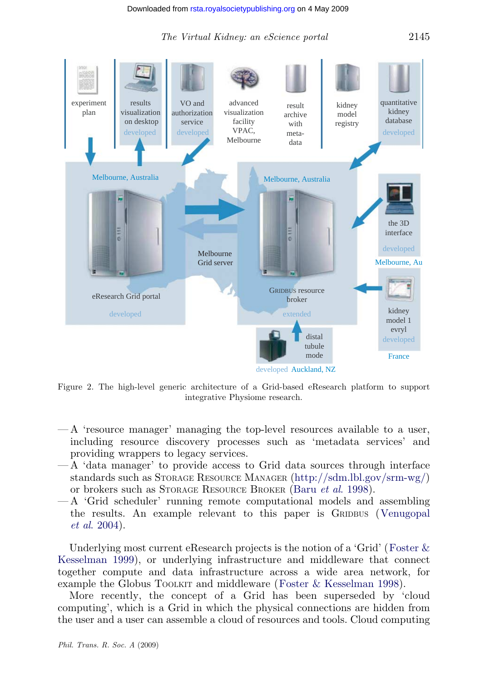<span id="page-5-0"></span>

Figure 2. The high-level generic architecture of a Grid-ba[sed eResearch platform to suppor](http://sdm.lbl.gov/srm-wg/)t integrative Physiome resear[ch.](#page-17-0)

- A 'resource manager' managing the top-level resources available [to](#page-19-0) [a](#page-19-0) [user,](#page-19-0) [including](#page-19-0) resource discovery processes such as 'metadata services' and providing wrappers to legacy services.
- [A 'data mana](#page-18-0)ger' to provide access to Grid data sources through [interface](#page-18-0) standards such as STORAGE RESOURCE MANAGER (http://sdm.lbl.gov/srm-wg/) or brokers such as STORAGE RESOURCE BROKER (Baru et al. 1998).
- A 'Grid scheduler' running remote compu[tational](#page-18-0) [models](#page-18-0) [and](#page-18-0) [assem](#page-18-0)bling the results. An example relevant to this paper is GRIDBUS (Venugopal et al. 2004).

Underlying most current eResearch projects is the notion of a 'Grid' (Foster & Kesselman 1999), or underlying infrastructure and middleware that connect together compute and data infrastructure across a wide area network, for example the Globus TOOLKIT and middleware (Foster & Kesselman 1998).

More recently, the concept of a Grid has been superseded by 'cloud computing', which is a Grid in which the physical connections are hidden from the user and a user can assemble a cloud of resources and tools. Cloud computing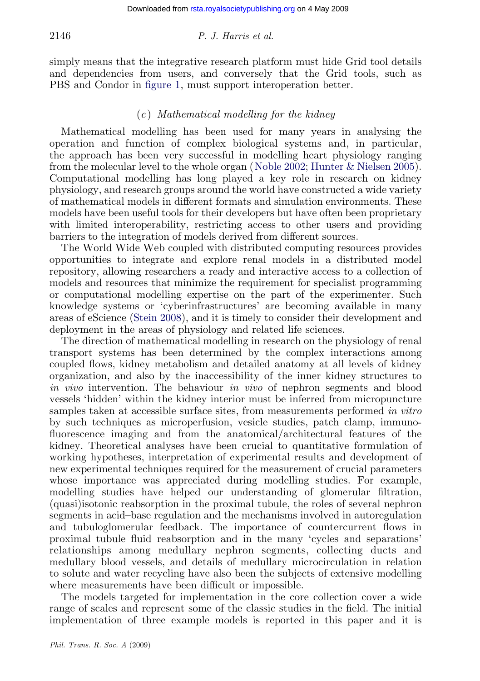### 2146 P. J. Harris et al.

simply means that the integrative research platform must hide Grid tool details and dependencies from users, and conver[sely that the Grid tools, such a](#page-18-0)s PBS and Condor in figure 1, must support interoperation better.

### $(c)$  Mathematical modelling for the kidney

Mathematical modelling has been used for many years in analysing the operation and function of complex biological systems and, in particular, the approach has been very successful in modelling heart physiology ranging from the molecular level to the whole organ (Noble 2002; Hunter & Nielsen 2005). Computational modelling has long played a key role in research on kidney physiology, and research groups around the world have constructed a wide variety of mathematical models in different formats and simulation environments. These models have been useful tools for their developers but have often been proprietary with limited inte[roperability](#page-18-0), restricting access to other users and providing barriers to the integration of models derived from different sources.

The World Wide Web coupled with distributed computing resources provides opportunities to integrate and explore renal models in a distributed model repository, allowing researchers a ready and interactive access to a collection of models and resources that minimize the requirement for specialist programming or computational modelling expertise on the part of the experimenter. Such knowledge systems or 'cyberinfrastructures' are becoming available in many areas of eScience (Stein 2008), and it is timely to consider their development and deployment in the areas of physiology and related life sciences.

The direction of mathematical modelling in research on the physiology of renal transport systems has been determined by the complex interactions among coupled flows, kidney metabolism and detailed anatomy at all levels of kidney organization, and also by the inaccessibility of the inner kidney structures to in vivo intervention. The behaviour in vivo of nephron segments and blood vessels 'hidden' within the kidney interior must be inferred from micropuncture samples taken at accessible surface sites, from measurements performed in vitro by such techniques as microperfusion, vesicle studies, patch clamp, immunofluorescence imaging and from the anatomical/architectural features of the kidney. Theoretical analyses have been crucial to quantitative formulation of working hypotheses, interpretation of experimental results and development of new experimental techniques required for the measurement of crucial parameters whose importance was appreciated during modelling studies. For example, modelling studies have helped our understanding of glomerular filtration, (quasi)isotonic reabsorption in the proximal tubule, the roles of several nephron segments in acid–base regulation and the mechanisms involved in autoregulation and tubuloglomerular feedback. The importance of countercurrent flows in proximal tubule fluid reabsorption and in the many 'cycles and separations' relationships among medullary nephron segments, collecting ducts and medullary blood vessels, and details of medullary microcirculation in relation to solute and water recycling have also been the subjects of extensive modelling where measurements have been difficult or impossible.

The models targeted for implementation in the core collection cover a wide range of scales and represent some of the classic studies in the field. The initial implementation of three example models is reported in this paper and it is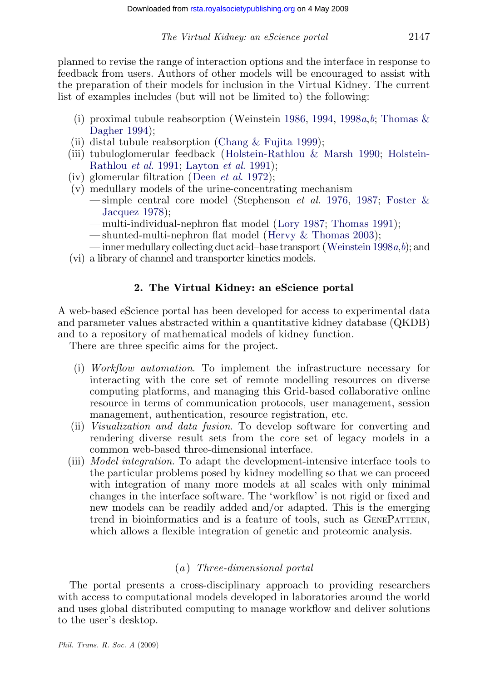planned to revise the range of inte[ra](#page-17-0)[ction options and the interface in r](#page-18-0)e[sponse to](#page-18-0) feedba[ck from users. Authors of other models](#page-18-0) will be encouraged to assist with the preparation of their mod[els for inclusion i](#page-18-0)n the Virtual Kidney. The current list of examples includes (but will not be limited to) the following:

- (i) pr[oximal tubule](#page-18-0) reabsorption (Weinstein 1986, 19[94,](#page-18-0) 1998 $a, b$  $a, b$ ; [Thomas](#page-18-0)  $\&$  $\&$ Dagher 1994);
- (ii) distal tubule reabsorption (Chang & [Fujita 1999\);](#page-18-0)
- (iii) tubuloglomerular feedback (Holstein-Rathlou & [Marsh 1990;](#page-19-0) H[ols](#page-19-0)tein-Rathlou et al. 1991; Layton et al. 1991);
- (iv) glomerular filtration (Deen et al. 1972);
- (v) medullary models of the urine-concentrating mechanism
	- simple central core model (Stephenson *et al.* 1976, 1987; Foster  $\&$ Jacquez 1978);
	- multi-individual-nephron flat model (Lory 1987; Thomas 1991);
	- shunted-multi-nephron flat model (Hervy & Thomas 2003);
- inner medullary collecting duct acid–base transport (Weinstein 1998a,b); and
- (vi) a library of channel and transporter kinetics models.

### 2. The Virtual Kidney: an eScience portal

A web-based eScience portal has been developed for access to experimental data and parameter values abstracted within a quantitative kidney database (QKDB) and to a repository of mathematical models of kidney function.

There are three specific aims for the project.

- (i) Workflow automation. To implement the infrastructure necessary for interacting with the core set of remote modelling resources on diverse computing platforms, and managing this Grid-based collaborative online resource in terms of communication protocols, user management, session management, authentication, resource registration, etc.
- (ii) Visualization and data fusion. To develop software for converting and rendering diverse result sets from the core set of legacy models in a common web-based three-dimensional interface.
- (iii) Model integration. To adapt the development-intensive interface tools to the particular problems posed by kidney modelling so that we can proceed with integration of many more models at all scales with only minimal changes in the interface software. The 'workflow' is not rigid or fixed and new models can be readily added and/or adapted. This is the emerging trend in bioinformatics and is a feature of tools, such as GENEPATTERN, which allows a flexible integration of genetic and proteomic analysis.

# (a ) Three-dimensional portal

The portal presents a cross-disciplinary approach to providing researchers with access to computational models developed in laboratories around the world and uses global distributed computing to manage workflow and deliver solutions to the user's desktop.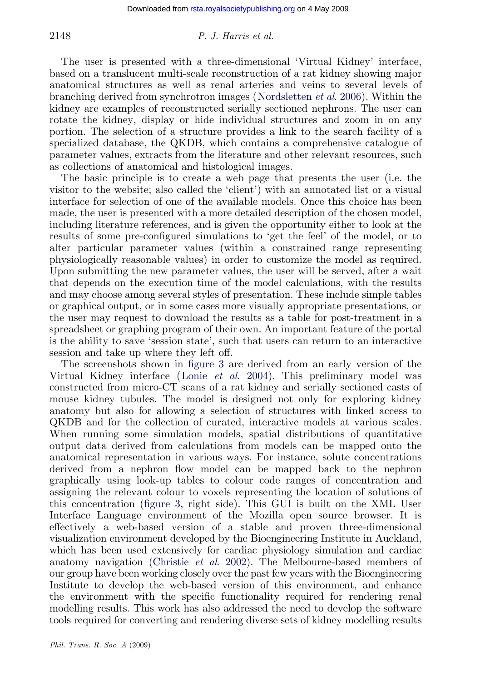### 2148 P. J. Harris et al.

The user is presented with a three-dimensional 'Virtual Kidney' interface, based on a translucent multi-scale reconstruction of a rat kidney showing major anatomical structures as well as renal arteries and veins to several levels of branching derived from synchrotron images (Nordsletten et al. 2006). Within the kidney are examples of reconstructed serially sectioned nephrons. The user can rotate the kidney, display or hide individual structures and zoom in on any portion. The selection of a structure provides a link to the search facility of a specialized database, the QKDB, which contains a comprehensive catalogue of parameter values, extracts from the literature and other relevant resources, such as collections of anatomical and histological images.

The basic principle is to create a web page that presents the user (i.e. the visitor to the website; also called the 'client') with an annotated list or a visual interface for selection of one of the available models. Once this choice has been made, the user is presented with a more detailed description of the chosen model, including literature references, and is given the opportunity either to look at the results of some pre-configured simulations to 'get the feel' of the model, or to alter particular parameter values (within a constrained range representing physiologically reasonable values) in order to customize the model as required. Upon submitting the new par[ameter v](#page-9-0)alues, the user will be served, after a wait that depends on the executi[on time of the mod](#page-18-0)el calculations, with the results and may choose among several styles of presentation. These include simple tables or graphical output, or in some cases more visually appropriate presentations, or the user may request to download the results as a table for post-treatment in a spreadsheet or graphing program of their own. An important feature of the portal is the ability to save 'session state', such that users can return to an interactive session and take up where they left off.

The screenshots shown in figure 3 are derived from an early version of the Virtual Kidney interface (Lonie et al. 2004). This preliminary model was constructed from micro-CT scans of a rat kidney and serially sectioned casts of mouse kidney tubules. The model is designed not only for exploring kidney anatomy but also f[or allow](#page-9-0)ing a selection of structures with linked access to QKDB and for the collection of curated, interactive models at various scales. When running some simulation models, spatial distributions of quantitative output data derived from calculations from models can be mapped onto the anatomical representation in various ways. For instance, solute concentrations derived from a nep[hron flow model can](#page-17-0) be mapped back to the nephron graphically using look-up tables to colour code ranges of concentration and assigning the relevant colour to voxels representing the location of solutions of this concentration (figure 3, right side). This GUI is built on the XML User Interface Language environment of the Mozilla open source browser. It is effectively a web-based version of a stable and proven three-dimensional visualization environment developed by the Bioengineering Institute in Auckland, which has been used extensively for cardiac physiology simulation and cardiac anatomy navigation (Christie *et al.* 2002). The Melbourne-based members of our group have been working closely over the past few years with the Bioengineering Institute to develop the web-based version of this environment, and enhance the environment with the specific functionality required for rendering renal modelling results. This work has also addressed the need to develop the software tools required for converting and rendering diverse sets of kidney modelling results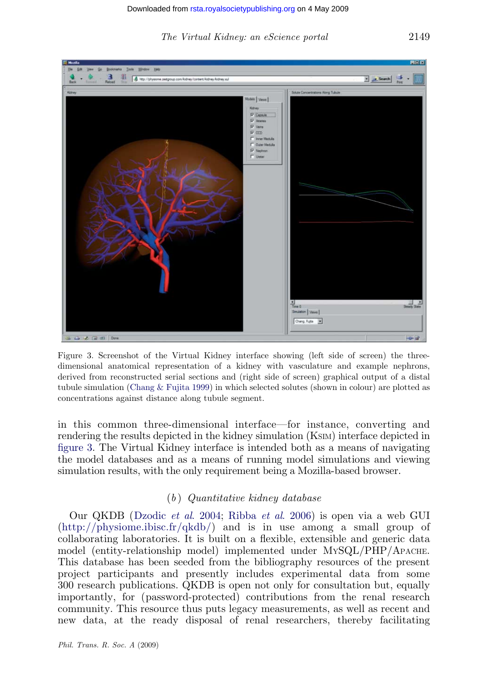<span id="page-9-0"></span>

### The Virtual Kidney: an eScience portal 2149

Figure 3. Screenshot of the Virtual Kidney interface showing (left side of screen) the threedimensional anatomical representation of a kidney with vasculature and example nephrons, derived from reconstructed serial sections and (right side of screen) graphical output of a distal tubule simulation (Chang & Fujita 1999) in which selected solutes (shown in colour) are plotted as concentrations against distance along tubule segment.

in this commo[n three-dimensiona](#page-18-0)l [interface—for in](#page-18-0)stance, converting and r[endering the results depicted in th](http://physiome.ibisc.fr/qkdb/)e kidney simulation (KSIM) interface depicted in figure 3. The Virtual Kidney interface is intended both as a means of navigating the model databases and as a means of running model simulations and viewing simulation results, with the only requirement being a Mozilla-based browser.

# $(b)$  Quantitative kidney database

Our QKDB (Dzodic et al. 2004; Ribba et al. 2006) is open via a web GUI  $(\text{http://physiome.ibisc.fr/dkdb/})$  and is in use among a small group of collaborating laboratories. It is built on a flexible, extensible and generic data model (entity-relationship model) implemented under MYSQL/PHP/APACHE. This database has been seeded from the bibliography resources of the present project participants and presently includes experimental data from some 300 research publications. QKDB is open not only for consultation but, equally importantly, for (password-protected) contributions from the renal research community. This resource thus puts legacy measurements, as well as recent and new data, at the ready disposal of renal researchers, thereby facilitating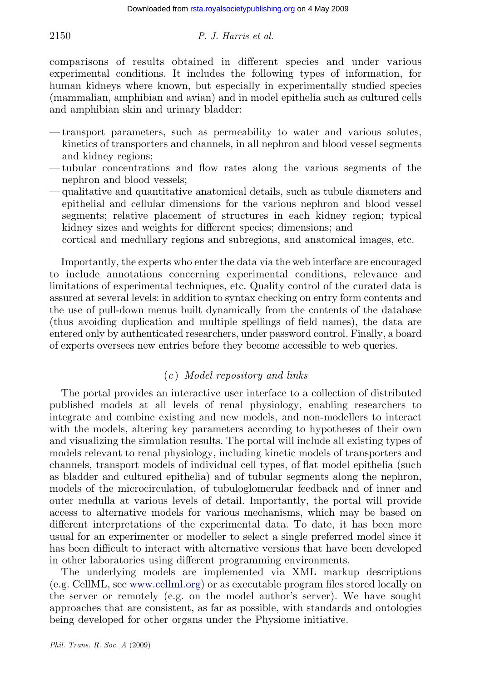# 2150 P. J. Harris et al.

comparisons of results obtained in different species and under various experimental conditions. It includes the following types of information, for human kidneys where known, but especially in experimentally studied species (mammalian, amphibian and avian) and in model epithelia such as cultured cells and amphibian skin and urinary bladder:

- transport parameters, such as permeability to water and various solutes, kinetics of transporters and channels, in all nephron and blood vessel segments and kidney regions;
- tubular concentrations and flow rates along the various segments of the nephron and blood vessels;
- qualitative and quantitative anatomical details, such as tubule diameters and epithelial and cellular dimensions for the various nephron and blood vessel segments; relative placement of structures in each kidney region; typical kidney sizes and weights for different species; dimensions; and
- cortical and medullary regions and subregions, and anatomical images, etc.

Importantly, the experts who enter the data via the web interface are encouraged to include annotations concerning experimental conditions, relevance and limitations of experimental techniques, etc. Quality control of the curated data is assured at several levels: in addition to syntax checking on entry form contents and the use of pull-down menus built dynamically from the contents of the database (thus avoiding duplication and multiple spellings of field names), the data are entered only by authenticated researchers, under password control. Finally, a board of experts oversees new entries before they become accessible to web queries.

# $(c)$  Model repository and links

The portal provides an interactive user interface to a collection of distributed published models at all levels of renal physiology, enabling researchers to integrate and combine existing and new models, and non-modellers to interact with the models, altering key parameters according to hypotheses of their own and visualizing the simulation results. The portal will include all existing types of models relevant to renal physiology, including kinetic models of transporters and channels, transport models of individual cell types, of flat model epithelia (such as bladder and cultured epithelia) and of tubular segments along the nephron, models of the microcirculation, of tubuloglomerular feedback and of inner and outer medulla at [various](http://www.cellml.org) [levels](http://www.cellml.org) of detail. Importantly, the portal will provide access to alternative models for various mechanisms, which may be based on different interpretations of the experimental data. To date, it has been more usual for an experimenter or modeller to select a single preferred model since it has been difficult to interact with alternative versions that have been developed in other laboratories using different programming environments.

The underlying models are implemented via XML markup descriptions (e.g. CellML, see www.cellml.org) or as executable program files stored locally on the server or remotely (e.g. on the model author's server). We have sought approaches that are consistent, as far as possible, with standards and ontologies being developed for other organs under the Physiome initiative.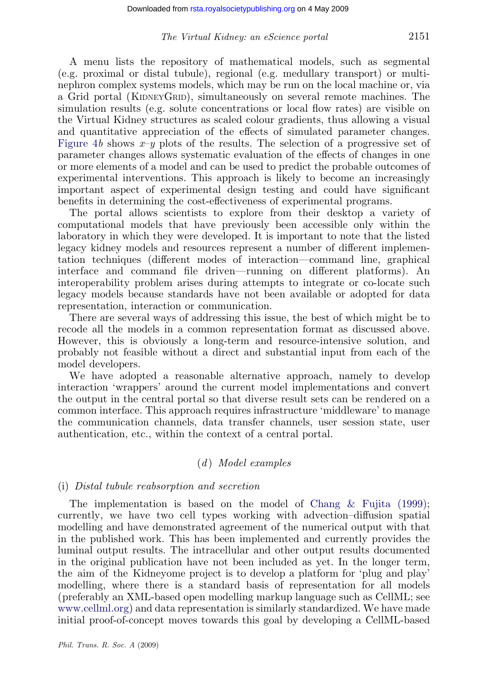### The Virtual Kidney: an eScience portal 2151

[A](#page-14-0) [men](#page-14-0)u lists the repository of mathematical models, such as segmental (e.g. proximal or distal tubule), regional (e.g. medullary transport) or multinephron complex systems models, which may be run on the local machine or, via a Grid portal (KIDNEYGRID), simultaneously on several remote machines. The simulation results (e.g. solute concentrations or local flow rates) are visible on the Virtual Kidney structures as scaled colour gradients, thus allowing a visual and quantitative appreciation of the effects of simulated parameter changes. Figure 4b shows  $x-y$  plots of the results. The selection of a progressive set of parameter changes allows systematic evaluation of the effects of changes in one or more elements of a model and can be used to predict the probable outcomes of experimental interventions. This approach is likely to become an increasingly important aspect of experimental design testing and could have significant benefits in determining the cost-effectiveness of experimental programs.

The portal allows scientists to explore from their desktop a variety of computational models that have previously been accessible only within the laboratory in which they were developed. It is important to note that the listed legacy kidney models and resources represent a number of different implementation techniques (different modes of interaction—command line, graphical interface and command file driven—running on different platforms). An interoperability problem arises during attempts to integrate or co-locate such legacy models because standards have not been available or adopted for data representation, interaction or communication.

There are several ways of addressing this issue, the best of which might be to recode all the models in a common representation format as discussed above. However, this is obviously a long-term and resource-intensive solution, and probably not feasible without a direct and substantial input from each of the model developers.

We have adopted a reasonable alternative approach, namely to develop interaction 'wrappers' around the current model implementations and convert the output in the central portal so that diverse result sets can be rendered on a common interface. This approach requires infrastructu[re 'middleware' to manage](#page-17-0) the communication channels, data transfer channels, user session state, user authentication, etc., within the context of a central portal.

# $(d)$  Model examples

### (i) Distal tubule reabsorption and secretion

The implementation is based on the model of Chang & Fujita (1999); [currently, we h](http://www.cellml.org)ave two cell types working with advection–diffusion spatial modelling and have demonstrated agreement of the numerical output with that in the published work. This has been implemented and currently provides the luminal output results. The intracellular and other output results documented in the original publication have not been included as yet. In the longer term, the aim of the Kidneyome project is to develop a platform for 'plug and play' modelling, where there is a standard basis of representation for all models (preferably an XML-based open modelling markup language such as CellML; see www.cellml.org) and data representation is similarly standardized. We have made initial proof-of-concept moves towards this goal by developing a CellML-based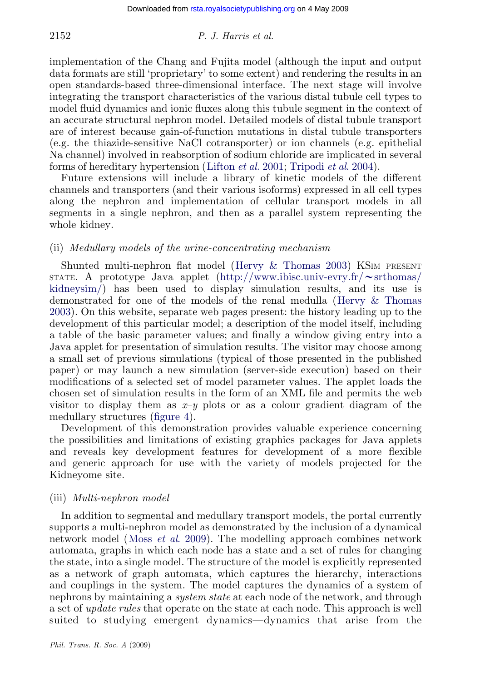### 2152 P. J. Harris et al.

implementation of the Chang and Fujita model (although the input and output data formats are still 'proprietary' [to some extent\) a](#page-18-0)[nd rendering the re](#page-19-0)sults in an open standards-based three-dimensional interface. The next stage will involve integrating the transport characteristics of the various distal tubule cell types to model fluid dynamics and ionic fluxes along this tubule segment in the context of an accurate structural nephron model. Detailed models of distal tubule transport are of interest because gain-of-function mutations in distal tubule transporters (e.g. the thiazide-sensitive NaCl cotransporter) or ion channels (e.g. epithelial Na channel) involved in reabsorption of sodium chloride are implicated in several forms of hereditary hypertension (Lifton et al. 2001; Tripodi et al. 2004).

Future extensions will include a lib[rary of kinetic models](#page-18-0) of the different channels and transporters (and their [various isoforms\) expressed in all cell types](http://www.ibisc.univ-evry.fr/~srthomas/kidneysim/) [along the](http://www.ibisc.univ-evry.fr/~srthomas/kidneysim/) nephron and implementation of cellular transport models in all segments in a single nephron, and then as a parallel syste[m representing the](#page-18-0) [whol](#page-18-0)e kidney.

# (ii) Medullary models of the urine-concentrating mechanism

Shunted multi-nephron flat model (Hervy & Thomas 2003) KSIM PRESENT STATE. A prototype Java applet (http://www.ibisc.univ-evry.fr/*w*srthomas/ kidneysim/) has been used to display simulation results, and its use is demonstrated for one of the models of the renal medulla (Hervy & Thomas 2003). On this website, separate web pages present: the history leading up to the development of this p[articular](#page-14-0) model; a description of the model itself, including a table of the basic parameter values; and finally a window giving entry into a Java applet for presentation of simulation results. The visitor may choose among a small set of previous simulations (typical of those presented in the published paper) or may launch a new simulation (server-side execution) based on their modifications of a selected set of model parameter values. The applet loads the chosen set of simulation results in the form of an XML file and permits the web visitor to display them as  $x-y$  plots or as a colour gradient diagram of the medullary structures (figure 4).

Development of this demonstration provides valuable experience concerning the possibilities and limitations of existing graphics packages for Java applets and reveals ke[y development fe](#page-18-0)atures for development of a more flexible and generic approach for use with the variety of models projected for the Kidneyome site.

### (iii) Multi-nephron model

In addition to segmental and medullary transport models, the portal currently supports a multi-nephron model as demonstrated by the inclusion of a dynamical network model (Moss *et al.* 2009). The modelling approach combines network automata, graphs in which each node has a state and a set of rules for changing the state, into a single model. The structure of the model is explicitly represented as a network of graph automata, which captures the hierarchy, interactions and couplings in the system. The model captures the dynamics of a system of nephrons by maintaining a *system state* at each node of the network, and through a set of update rules that operate on the state at each node. This approach is well suited to studying emergent dynamics—dynamics that arise from the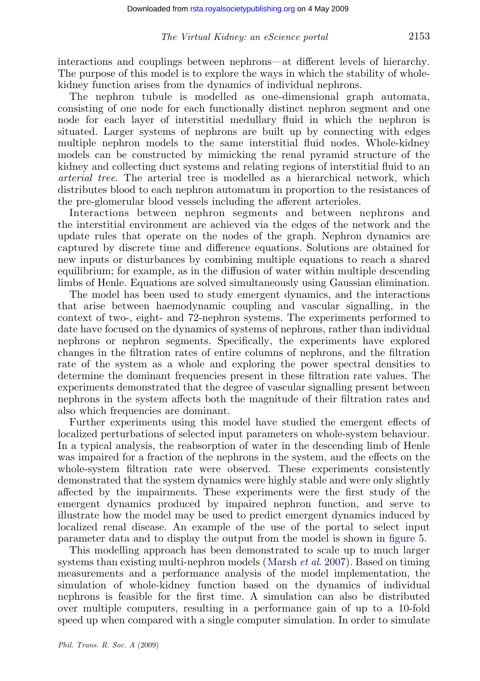interactions and couplings between nephrons—at different levels of hierarchy. The purpose of this model is to explore the ways in which the stability of wholekidney function arises from the dynamics of individual nephrons.

The nephron tubule is modelled as one-dimensional graph automata, consisting of one node for each functionally distinct nephron segment and one node for each layer of interstitial medullary fluid in which the nephron is situated. Larger systems of nephrons are built up by connecting with edges multiple nephron models to the same interstitial fluid nodes. Whole-kidney models can be constructed by mimicking the renal pyramid structure of the kidney and collecting duct systems and relating regions of interstitial fluid to an arterial tree. The arterial tree is modelled as a hierarchical network, which distributes blood to each nephron automatum in proportion to the resistances of the pre-glomerular blood vessels including the afferent arterioles.

Interactions between nephron segments and between nephrons and the interstitial environment are achieved via the edges of the network and the update rules that operate on the nodes of the graph. Nephron dynamics are captured by discrete time and difference equations. Solutions are obtained for new inputs or disturbances by combining multiple equations to reach a shared equilibrium; for example, as in the diffusion of water within multiple descending limbs of Henle. Equations are solved simultaneously using Gaussian elimination.

The model has been used to study emergent dynamics, and the interactions that arise between haemodynamic coupling and vascular signalling, in the context of two-, eight- and 72-nephron systems. The experiments performed to date have focused on the dynamics of systems of nephrons, rather than individual nephrons or nephron segments. Specifically, the experiments have explored changes in the filtration rates of entire columns of nephrons, and the filtration rate of the system as a whole and exploring the power spectral densities to determine the dominant frequencies present in these filtration rate values. The experiments demonstrated that the degree of vascular signalling present between nephrons in the system affects both the magnitude of their filtration rates and also which frequencies are dominant.

Further experiments using this model have studied the emergent effects of localized perturbations of selected input parameters on whole-system behaviour. In a typical analysis, the reabsorption of water in the descending limb [of Henl](#page-15-0)e was impaired for a fraction of the nephrons in the system, and the effects on the whole-system filtration rate were observe[d. These experim](#page-18-0)ents consistently demonstrated that the system dynamics were highly stable and were only slightly affected by the impairments. These experiments were the first study of the emergent dynamics produced by impaired nephron function, and serve to illustrate how the model may be used to predict emergent dynamics induced by localized renal disease. An example of the use of the portal to select input parameter data and to display the output from the model is shown in figure 5.

This modelling approach has been demonstrated to scale up to much larger systems than existing multi-nephron models (Marsh *et al.* 2007). Based on timing measurements and a performance analysis of the model implementation, the simulation of whole-kidney function based on the dynamics of individual nephrons is feasible for the first time. A simulation can also be distributed over multiple computers, resulting in a performance gain of up to a 10-fold speed up when compared with a single computer simulation. In order to simulate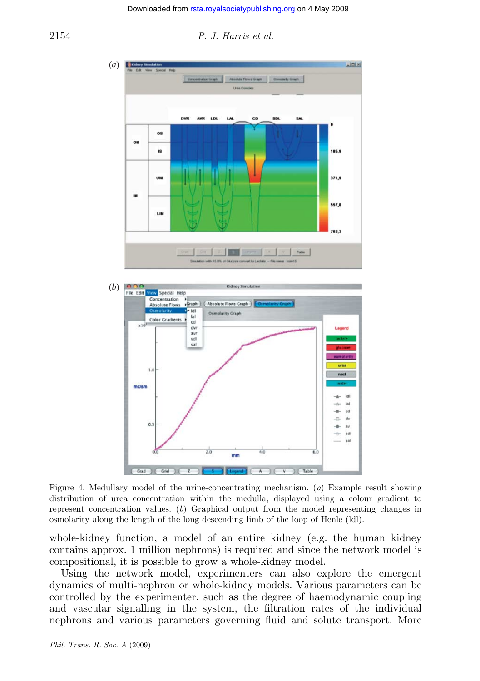

#### <span id="page-14-0"></span>2154 P. J. Harris et al.

Figure 4. Medullary model of the urine-concentrating mechanism. (a) Example result showing distribution of urea concentration within the medulla, displayed using a colour gradient to represent concentration values. (b) Graphical output from the model representing changes in osmolarity along the length of the long descending limb of the loop of Henle (ldl).

whole-kidney function, a model of an entire kidney (e.g. the human kidney contains approx. 1 million nephrons) is required and since the network model is compositional, it is possible to grow a whole-kidney model.

Using the network model, experimenters can also explore the emergent dynamics of multi-nephron or whole-kidney models. Various parameters can be controlled by the experimenter, such as the degree of haemodynamic coupling and vascular signalling in the system, the filtration rates of the individual nephrons and various parameters governing fluid and solute transport. More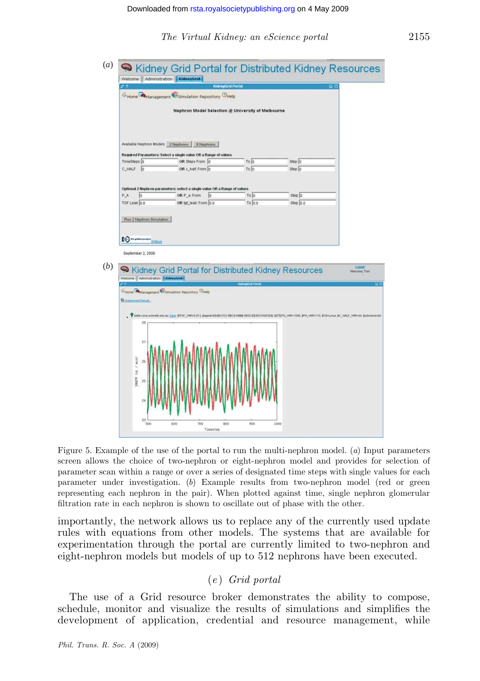The Virtual Kidney: an eScience portal 2155

<span id="page-15-0"></span>

Figure 5. Example of the use of the portal to run the multi-nephron model. (a) Input parameters screen allows the choice of two-nephron or eight-nephron model and provides for selection of parameter scan within a range or over a series of designated time steps with single values for each parameter under investigation. (b) Example results from two-nephron model (red or green representing each nephron in the pair). When plotted against time, single nephron glomerular filtration rate in each nephron is shown to oscillate out of phase with the other.

importantly, the network allows us to replace any of the currently used update rules with equations from other models. The systems that are available for experimentation through the portal are currently limited to two-nephron and eight-nephron models but models of up to 512 nephrons have been executed.

# (e ) Grid portal

The use of a Grid resource broker demonstrates the ability to compose, schedule, monitor and visualize the results of simulations and simplifies the development of application, credential and resource management, while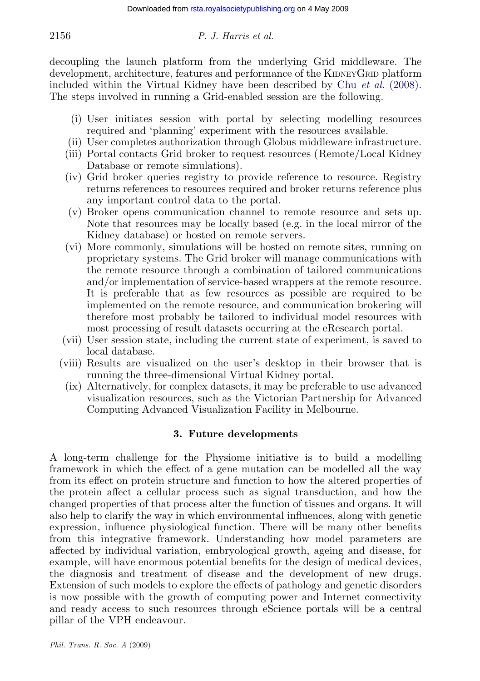# 2156 P. J. Harris et al.

decoupling the launch platform from the underlying Grid middleware. The development, architecture, features and performance of the KIDNEYGRID platform included within the Virtual Kidney have been described by Chu et al. (2008). The steps involved in running a Grid-enabled session are the following.

- (i) User initiates session with portal by selecting modelling resources required and 'planning' experiment with the resources available.
- (ii) User completes authorization through Globus middleware infrastructure.
- (iii) Portal contacts Grid broker to request resources (Remote/Local Kidney Database or remote simulations).
- (iv) Grid broker queries registry to provide reference to resource. Registry returns references to resources required and broker returns reference plus any important control data to the portal.
- (v) Broker opens communication channel to remote resource and sets up. Note that resources may be locally based (e.g. in the local mirror of the Kidney database) or hosted on remote servers.
- (vi) More commonly, simulations will be hosted on remote sites, running on proprietary systems. The Grid broker will manage communications with the remote resource through a combination of tailored communications and/or implementation of service-based wrappers at the remote resource. It is preferable that as few resources as possible are required to be implemented on the remote resource, and communication brokering will therefore most probably be tailored to individual model resources with most processing of result datasets occurring at the eResearch portal.
- (vii) User session state, including the current state of experiment, is saved to local database.
- (viii) Results are visualized on the user's desktop in their browser that is running the three-dimensional Virtual Kidney portal.
- (ix) Alternatively, for complex datasets, it may be preferable to use advanced visualization resources, such as the Victorian Partnership for Advanced Computing Advanced Visualization Facility in Melbourne.

# 3. Future developments

A long-term challenge for the Physiome initiative is to build a modelling framework in which the effect of a gene mutation can be modelled all the way from its effect on protein structure and function to how the altered properties of the protein affect a cellular process such as signal transduction, and how the changed properties of that process alter the function of tissues and organs. It will also help to clarify the way in which environmental influences, along with genetic expression, influence physiological function. There will be many other benefits from this integrative framework. Understanding how model parameters are affected by individual variation, embryological growth, ageing and disease, for example, will have enormous potential benefits for the design of medical devices, the diagnosis and treatment of disease and the development of new drugs. Extension of such models to explore the effects of pathology and genetic disorders is now possible with the growth of computing power and Internet connectivity and ready access to such resources through eScience portals will be a central pillar of the VPH endeavour.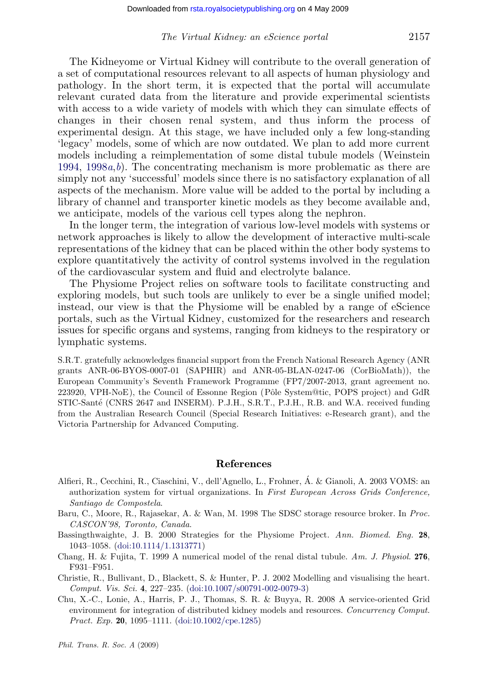### The Virtual Kidney: an eScience portal 2157

<span id="page-17-0"></span>The Kidneyome or Virtual Kidney will contribute to the overall generation of [a set](#page-19-0) [of compu](#page-19-0)tational resources relevant to all aspects of human physiology and pathology. In the short term, it is expected that the portal will accumulate relevant curated data from the literature and provide experimental scientists with access to a wide variety of models with which they can simulate effects of changes in their chosen renal system, and thus inform the process of experimental design. At this stage, we have included only a few long-standing 'legacy' models, some of which are now outdated. We plan to add more current models including a reimplementation of some distal tubule models (Weinstein 1994, 1998 $a, b$ ). The concentrating mechanism is more problematic as there are simply not any 'successful' models since there is no satisfactory explanation of all aspects of the mechanism. More value will be added to the portal by including a library of channel and transporter kinetic models as they become available and, we anticipate, models of the various cell types along the nephron.

In the longer term, the integration of various low-level models with systems or network approaches is likely to allow the development of interactive multi-scale representations of the kidney that can be placed within the other body systems to explore quantitatively the activity of control systems involved in the regulation of the cardiovascular system and fluid and electrolyte balance.

The Physiome Project relies on software tools to facilitate constructing and exploring models, but such tools are unlikely to ever be a single unified model; instead, our view is that the Physiome will be enabled by a range of eScience portals, such as the Virtual Kidney, customized for the researchers and research issues for specific organs and systems, ranging from kidneys to the respiratory or lymphatic systems.

S.R.T. gratefully acknowledges financial support from the French National Research Agency (ANR grants ANR-06-BYOS-0007-01 (SAPHIR) and ANR-05-BLAN-0247-06 (CorBioMath)), the European Community's Seventh Framework Programme (FP7/2007-2013, grant agreement no. 223920, VPH-NoE), the Council of Essonne Region (Pôle System@tic, POPS project) and GdR STIC-Santé (CNRS 2647 and INSERM). P.J.H., S.R.T., P.J.H., R.B. and W.A. received funding from the Australian Research Council (Special Research Initiatives: e-Research grant), and the Victoria Partnership for Advanced Computing.

#### References

- Alfieri, R., Cecchini, R., Ciaschini, V., dell'Agnello, L., Frohner, A´. & Gianoli, A. 2003 VOMS: an authorization system for virtu[al organizations. In](http://dx.doi.org/doi:10.1007/s00791-002-0079-3) First European Across Grids Conference, Santiago de Compostela.
- Baru, C., Moore, R., Rajasekar, A. & Wan, M. 1998 The SDSC storage resource broker. In Proc. CASCON'98, Toronto, Canada.
- Bassingthwaighte, J. B. 2000 [Strategies](http://dx.doi.org/doi:10.1002/cpe.1285) [for](http://dx.doi.org/doi:10.1002/cpe.1285) [the](http://dx.doi.org/doi:10.1002/cpe.1285) [P](http://dx.doi.org/doi:10.1002/cpe.1285)hysiome Project. Ann. Biomed. Eng. 28, 1043–1058. (doi:10.1114/1.1313771)
- Chang, H. & Fujita, T. 1999 A numerical model of the renal distal tubule. Am. J. Physiol. 276, F931–F951.
- Christie, R., Bullivant, D., Blackett, S. & Hunter, P. J. 2002 Modelling and visualising the heart. Comput. Vis. Sci. 4, 227–235. (doi:10.1007/s00791-002-0079-3)
- Chu, X.-C., Lonie, A., Harris, P. J., Thomas, S. R. & Buyya, R. 2008 A service-oriented Grid environment for integration of distributed kidney models and resources. Concurrency Comput. Pract. Exp. 20, 1095–1111. (doi:10.1002/cpe.1285)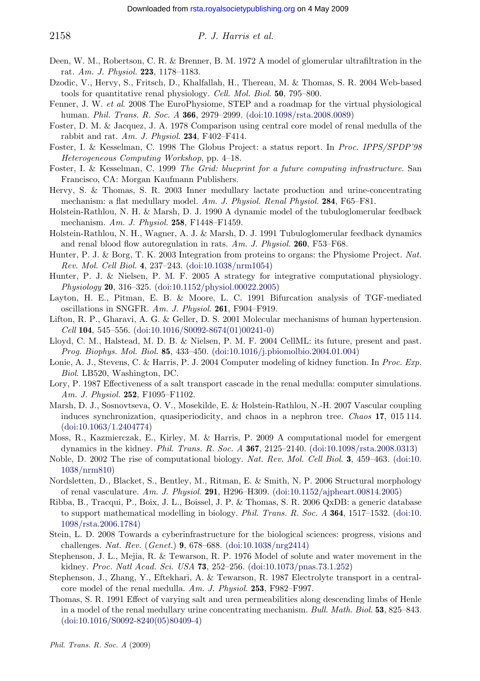<span id="page-18-0"></span>

### 2158 P. J. Harris et al.

- Deen, W. M., Robertson, C. R. & Brenner, B. M. 1972 A model of glomerular ultrafiltration in the rat. Am. J. Physiol. 223, 1178–1183.
- Dzodic, V., Hervy, S., Fritsch, D., Khalfallah, H., Thereau, M. & Thomas, S. R. 2004 Web-based tools for quantitative renal physiology. Cell. Mol. Biol. 50, 795–800.
- Fenner, J. W. et al. 2008 The EuroPhysiome, STEP and a roadmap for the virtual physiological human. Phil. Trans. R. Soc. A 366, 2979-2999. (doi:10.1098/rsta.2008.0089)
- Foster, D. M. & Jacquez, J. A. 1978 Comparison using central core model of renal medulla of the rabbit and rat.  $Am. J. Physiol. 234, F402–F414.$
- Foster, I. & Kesselman, C. 1998 The Globus Project: a status report. In Proc. IPPS/SPDP'98 Heterogeneous Computing Workshop, pp. 4–18.
- Foster, I. & Kesselman, C. 1999 The Grid: blueprint for a future computing infrastructure. San Francisco, CA: Morgan Kaufman[n](http://dx.doi.org/doi:10.1038/nrm1054) [Publishers.](http://dx.doi.org/doi:10.1038/nrm1054)
- Hervy, S. & Thomas, S. R. 2003 Inner medullary lactate production and urine-concentrating mechanism: a flat medullary model. [Am.](http://dx.doi.org/doi:10.1152/physiol.00022.2005) [J.](http://dx.doi.org/doi:10.1152/physiol.00022.2005) [Physiol.](http://dx.doi.org/doi:10.1152/physiol.00022.2005) [Ren](http://dx.doi.org/doi:10.1152/physiol.00022.2005)al Physiol. 284, F65–F81.
- Holstein-Rathlou, N. H. & Marsh, D. J. 1990 A dynamic model of the tubuloglomerular feedback mechanism. Am. J. Physiol. 258, F1448–F1459.
- Holstein-Rathlou, N. H., Wagner, A. J. & Marsh, D. J. 1991 Tubuloglomerular feedback dynamics and renal blood flo[w](http://dx.doi.org/doi:10.1016/S0092-8674(01)00241-0) [autoregulation](http://dx.doi.org/doi:10.1016/S0092-8674(01)00241-0) [in](http://dx.doi.org/doi:10.1016/S0092-8674(01)00241-0) [rats.](http://dx.doi.org/doi:10.1016/S0092-8674(01)00241-0)  $Am. J. Physiol. 260, F53–F68.$
- Hunter, P. J. & Borg, T. K. 2003 Integration from proteins to organs: the Physiome Project. Nat. Rev. Mol. Cell Biol. 4, 237–243. (doi:10.[1038/nrm1054\)](http://dx.doi.org/doi:10.1016/j.pbiomolbio.2004.01.004)
- Hunter, P. J. & Nielsen, P. M. F. 2005 A strategy for integrative computational physiology. Physiology 20, 316–325. (doi:10.1152/physiol.00022.2005)
- Layton, H. E., Pitman, E. B. & Moore, L. C. 1991 Bifurcation analysis of TGF-mediated oscillations in SNGFR. Am. J. Physiol. 261, F904–F919.
- Lifton, R. P., Gharavi, A. G. & Geller, D. S. 2001 Molecular mechanisms of human hypertension. Cell 104, 545–556. (doi:10.1016/S0092-8674(01)00241-0)
- Llo[yd,](http://dx.doi.org/doi:10.1063/1.2404774) [C.](http://dx.doi.org/doi:10.1063/1.2404774) [M.,](http://dx.doi.org/doi:10.1063/1.2404774) [Halstead,](http://dx.doi.org/doi:10.1063/1.2404774) [M](http://dx.doi.org/doi:10.1063/1.2404774). D. B. & Nielsen, P. M. F. 2004 CellML: its future, present and past. Prog. Biophys. Mol. Biol. 85, 433–450. (doi:10.1016/j.pbiomolbio.2004.01.004)
- Lonie, A. J., Stevens, C. & Harris, P. J. 2004 Computer modeling of k[idney](http://dx.doi.org/doi:10.1098/rsta.2008.0313) [function.](http://dx.doi.org/doi:10.1098/rsta.2008.0313) [In](http://dx.doi.org/doi:10.1098/rsta.2008.0313) Pro[c. Exp.](http://dx.doi.org/doi:10.1038/nrm810) Biol. LB520, Washington, DC.
- Lo[ry,](http://dx.doi.org/doi:10.1038/nrm810) [P.](http://dx.doi.org/doi:10.1038/nrm810) [1987](http://dx.doi.org/doi:10.1038/nrm810) [Eff](http://dx.doi.org/doi:10.1038/nrm810)ectiveness of a salt transport cascade in the renal medulla: computer simulations. Am. J. Physiol. **252**, F1095–F1102.
- Marsh, D. J., Sosnovtseva, O. V., Mosekilde, E. & Holstein-[Rathlou,](http://dx.doi.org/doi:10.1152/ajpheart.00814.2005) [N.-H.](http://dx.doi.org/doi:10.1152/ajpheart.00814.2005) [2007](http://dx.doi.org/doi:10.1152/ajpheart.00814.2005) [Vascular](http://dx.doi.org/doi:10.1152/ajpheart.00814.2005) [cou](http://dx.doi.org/doi:10.1152/ajpheart.00814.2005)pling induces synchronization, quasiperiodicity, and chaos in a nephron tree. Chaos 17, 0[15](http://dx.doi.org/doi:10.1098/rsta.2006.1784) [114.](http://dx.doi.org/doi:10.1098/rsta.2006.1784) (doi:10.1063/1.2404774)
- M[oss,](http://dx.doi.org/doi:10.1098/rsta.2006.1784) [R.,](http://dx.doi.org/doi:10.1098/rsta.2006.1784) [Kazmierczak](http://dx.doi.org/doi:10.1098/rsta.2006.1784), E., Kirley, M. & Harris, P. 2009 A computational model for emergent dynamics in the kidney. Phil. Trans. R. Soc. A 367, 2125–2140. (doi:10.1098/rsta.2008.0313)
- Noble, D. 2002 The rise of computational biology. [Nat.](http://dx.doi.org/doi:10.1038/nrg2414) [Rev.](http://dx.doi.org/doi:10.1038/nrg2414) [Mol.](http://dx.doi.org/doi:10.1038/nrg2414) Cell Biol. 3, 459–463. (doi:10. 1038/nrm810)
- Nordsletten, D., Blacket, S., Bentley, M., Ritman, E[.](http://dx.doi.org/doi:10.1073/pnas.73.1.252) [&](http://dx.doi.org/doi:10.1073/pnas.73.1.252) [Smith,](http://dx.doi.org/doi:10.1073/pnas.73.1.252) [N.](http://dx.doi.org/doi:10.1073/pnas.73.1.252) [P.](http://dx.doi.org/doi:10.1073/pnas.73.1.252) [2006](http://dx.doi.org/doi:10.1073/pnas.73.1.252) [Stru](http://dx.doi.org/doi:10.1073/pnas.73.1.252)ctural morphology of renal vasculature. Am. J. Physiol. 291, H296–H309. (doi:10.1152/ajpheart.00814.2005)
- Ribba, B., Tracqui, P., Boix, J. L., Boissel, J. P. & Thomas, S. R. 2006 QxDB: a generic database to support mathematical modelling in biology. Phil. Trans. R. Soc. A 364, 1517-1532. (doi:10. 1098/rsta.2006.1784)
- Stei[n,](http://dx.doi.org/doi:10.1016/S0092-8240(05)80409-4) [L.](http://dx.doi.org/doi:10.1016/S0092-8240(05)80409-4) [D.](http://dx.doi.org/doi:10.1016/S0092-8240(05)80409-4) [2008](http://dx.doi.org/doi:10.1016/S0092-8240(05)80409-4) [Towards](http://dx.doi.org/doi:10.1016/S0092-8240(05)80409-4) [a](http://dx.doi.org/doi:10.1016/S0092-8240(05)80409-4) [cyberinfra](http://dx.doi.org/doi:10.1016/S0092-8240(05)80409-4)structure for the biological sciences: progress, visions and challenges. Nat. Rev. (Genet.) 9, 678–688. (doi:10.1038/nrg2414)
- Stephenson, J. L., Mejia, R. & Tewarson, R. P. 1976 Model of solute and water movement in the kidney. Proc. Natl Acad. Sci. USA 73, 252–256. (doi:10.1073/pnas.73.1.252)
- Stephenson, J., Zhang, Y., Eftekhari, A. & Tewarson, R. 1987 Electrolyte transport in a centralcore model of the renal medulla. Am. J. Physiol. 253, F982–F997.
- Thomas, S. R. 1991 Effect of varying salt and urea permeabilities along descending limbs of Henle in a model of the renal medullary urine concentrating mechanism. Bull. Math. Biol. 53, 825–843. (doi:10.1016/S0092-8240(05)80409-4)